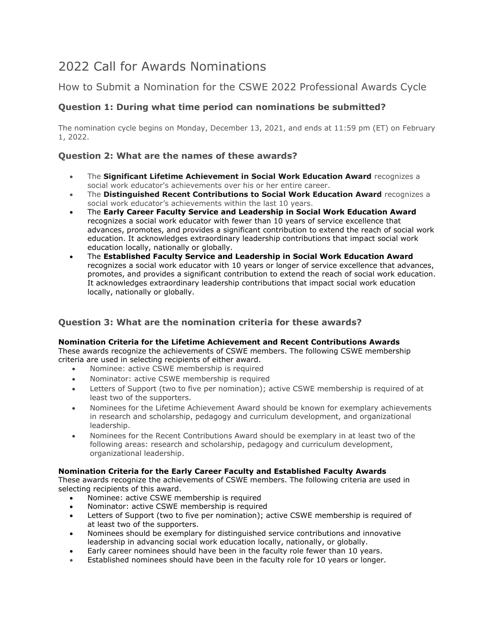# 2022 Call for Awards Nominations

# How to Submit a Nomination for the CSWE 2022 Professional Awards Cycle

# **Question 1: During what time period can nominations be submitted?**

The nomination cycle begins on Monday, December 13, 2021, and ends at 11:59 pm (ET) on February 1, 2022.

# **Question 2: What are the names of these awards?**

- The **Significant Lifetime Achievement in Social Work Education Award** recognizes a social work educator's achievements over his or her entire career.
- The **Distinguished Recent Contributions to Social Work Education Award** recognizes a social work educator's achievements within the last 10 years.
- The **Early Career Faculty Service and Leadership in Social Work Education Award** recognizes a social work educator with fewer than 10 years of service excellence that advances, promotes, and provides a significant contribution to extend the reach of social work education. It acknowledges extraordinary leadership contributions that impact social work education locally, nationally or globally.
- The **Established Faculty Service and Leadership in Social Work Education Award** recognizes a social work educator with 10 years or longer of service excellence that advances, promotes, and provides a significant contribution to extend the reach of social work education. It acknowledges extraordinary leadership contributions that impact social work education locally, nationally or globally.

# **Question 3: What are the nomination criteria for these awards?**

#### **Nomination Criteria for the Lifetime Achievement and Recent Contributions Awards**

These awards recognize the achievements of CSWE members. The following CSWE membership criteria are used in selecting recipients of either award.

- Nominee: active CSWE membership is required
- Nominator: active CSWE membership is required
- Letters of Support (two to five per nomination); active CSWE membership is required of at least two of the supporters.
- Nominees for the Lifetime Achievement Award should be known for exemplary achievements in research and scholarship, pedagogy and curriculum development, and organizational leadership.
- Nominees for the Recent Contributions Award should be exemplary in at least two of the following areas: research and scholarship, pedagogy and curriculum development, organizational leadership.

# **Nomination Criteria for the Early Career Faculty and Established Faculty Awards**

These awards recognize the achievements of CSWE members. The following criteria are used in selecting recipients of this award.

- Nominee: active CSWE membership is required
- Nominator: active CSWE membership is required
- Letters of Support (two to five per nomination); active CSWE membership is required of at least two of the supporters.
- Nominees should be exemplary for distinguished service contributions and innovative leadership in advancing social work education locally, nationally, or globally.
- Early career nominees should have been in the faculty role fewer than 10 years.
- Established nominees should have been in the faculty role for 10 years or longer.